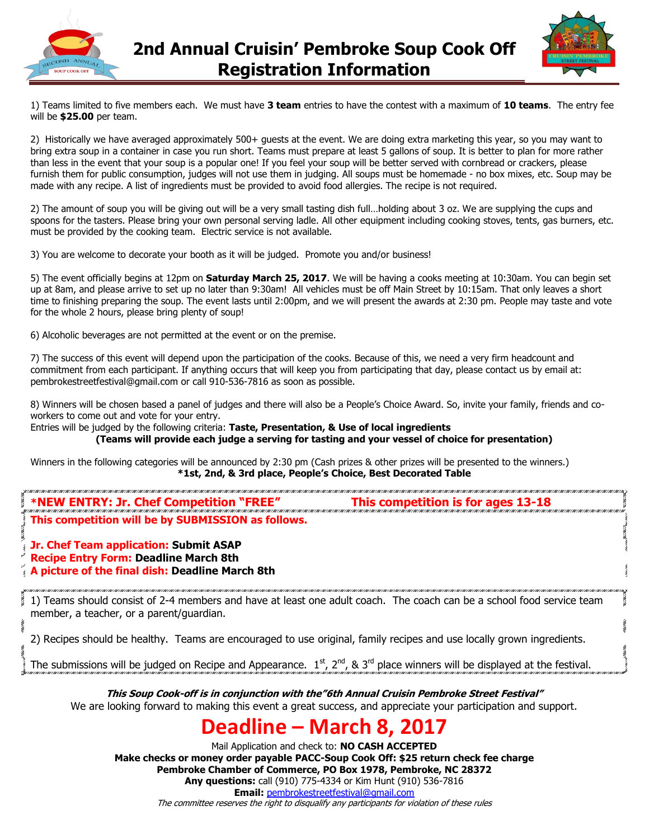



1) Teams limited to five members each. We must have **3 team** entries to have the contest with a maximum of **10 teams**. The entry fee will be **\$25.00** per team.

2) Historically we have averaged approximately 500+ guests at the event. We are doing extra marketing this year, so you may want to bring extra soup in a container in case you run short. Teams must prepare at least 5 gallons of soup. It is better to plan for more rather than less in the event that your soup is a popular one! If you feel your soup will be better served with cornbread or crackers, please furnish them for public consumption, judges will not use them in judging. All soups must be homemade - no box mixes, etc. Soup may be made with any recipe. A list of ingredients must be provided to avoid food allergies. The recipe is not required.

2) The amount of soup you will be giving out will be a very small tasting dish full…holding about 3 oz. We are supplying the cups and spoons for the tasters. Please bring your own personal serving ladle. All other equipment including cooking stoves, tents, gas burners, etc. must be provided by the cooking team. Electric service is not available.

3) You are welcome to decorate your booth as it will be judged. Promote you and/or business!

5) The event officially begins at 12pm on **Saturday March 25, 2017**. We will be having a cooks meeting at 10:30am. You can begin set up at 8am, and please arrive to set up no later than 9:30am! All vehicles must be off Main Street by 10:15am. That only leaves a short time to finishing preparing the soup. The event lasts until 2:00pm, and we will present the awards at 2:30 pm. People may taste and vote for the whole 2 hours, please bring plenty of soup!

6) Alcoholic beverages are not permitted at the event or on the premise.

7) The success of this event will depend upon the participation of the cooks. Because of this, we need a very firm headcount and commitment from each participant. If anything occurs that will keep you from participating that day, please contact us by email at: pembrokestreetfestival@gmail.com or call 910-536-7816 as soon as possible.

8) Winners will be chosen based a panel of judges and there will also be a People's Choice Award. So, invite your family, friends and coworkers to come out and vote for your entry.

Entries will be judged by the following criteria: **Taste, Presentation, & Use of local ingredients (Teams will provide each judge a serving for tasting and your vessel of choice for presentation)**

Winners in the following categories will be announced by 2:30 pm (Cash prizes & other prizes will be presented to the winners.) **\*1st, 2nd, & 3rd place, People's Choice, Best Decorated Table**

## **\*NEW ENTRY: Jr. Chef Competition "FREE" This competition is for ages 13-18**

### **This competition will be by SUBMISSION as follows.**

**Jr. Chef Team application: Submit ASAP**

**Recipe Entry Form: Deadline March 8th**

**A picture of the final dish: Deadline March 8th**

1) Teams should consist of 2-4 members and have at least one adult coach. The coach can be a school food service team member, a teacher, or a parent/guardian.

2) Recipes should be healthy. Teams are encouraged to use original, family recipes and use locally grown ingredients.

The submissions will be judged on Recipe and Appearance.  $1^{st}$ ,  $2^{nd}$ , &  $3^{rd}$  place winners will be displayed at the festival.

**This Soup Cook-off is in conjunction with the"6th Annual Cruisin Pembroke Street Festival"**  We are looking forward to making this event a great success, and appreciate your participation and support.

## **Deadline – March 8, 2017**

Mail Application and check to: **NO CASH ACCEPTED Make checks or money order payable PACC-Soup Cook Off: \$25 return check fee charge Pembroke Chamber of Commerce, PO Box 1978, Pembroke, NC 28372 Any questions:** call (910) 775-4334 or Kim Hunt (910) 536-7816 **Email:** [pembrokestreetfestival@gmail.com](mailto:pembrokestreetfestival@gmail.com)

The committee reserves the right to disqualify any participants for violation of these rules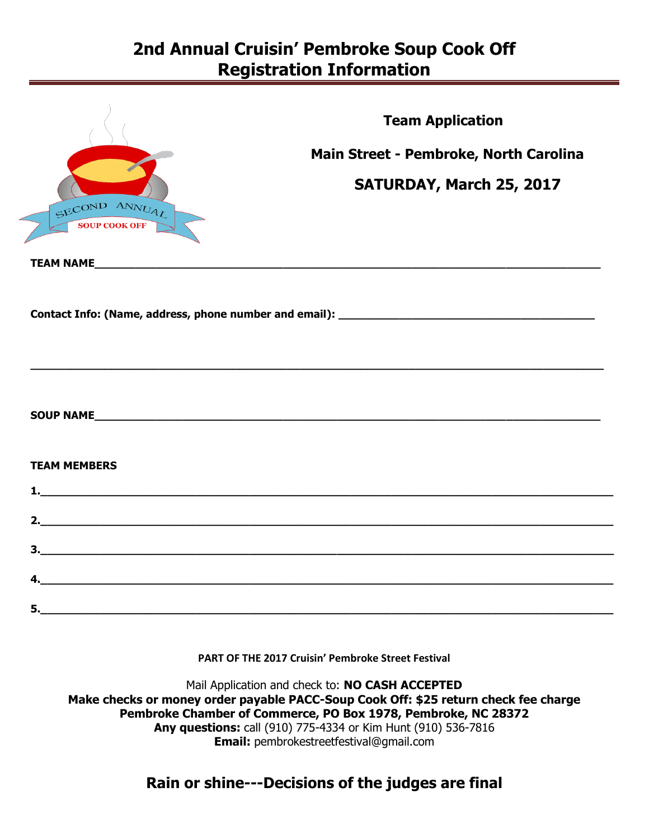## **2nd Annual Cruisin' Pembroke Soup Cook Off Registration Information**

|                                       | <b>Team Application</b>                                                                                               |
|---------------------------------------|-----------------------------------------------------------------------------------------------------------------------|
|                                       | Main Street - Pembroke, North Carolina                                                                                |
|                                       | SATURDAY, March 25, 2017                                                                                              |
| SECOND ANNUAL<br><b>SOUP COOK OFF</b> |                                                                                                                       |
|                                       |                                                                                                                       |
|                                       |                                                                                                                       |
|                                       |                                                                                                                       |
| <b>TEAM MEMBERS</b>                   |                                                                                                                       |
|                                       |                                                                                                                       |
|                                       |                                                                                                                       |
|                                       |                                                                                                                       |
| $\overline{a}$                        |                                                                                                                       |
| 5.                                    | <u> 1989 - Johann Harry Harry Harry Harry Harry Harry Harry Harry Harry Harry Harry Harry Harry Harry Harry Harry</u> |

### **PART OF THE 2017 Cruisin' Pembroke Street Festival**

Mail Application and check to: **NO CASH ACCEPTED Make checks or money order payable PACC-Soup Cook Off: \$25 return check fee charge Pembroke Chamber of Commerce, PO Box 1978, Pembroke, NC 28372 Any questions:** call (910) 775-4334 or Kim Hunt (910) 536-7816 **Email:** pembrokestreetfestival@gmail.com

### **Rain or shine---Decisions of the judges are final**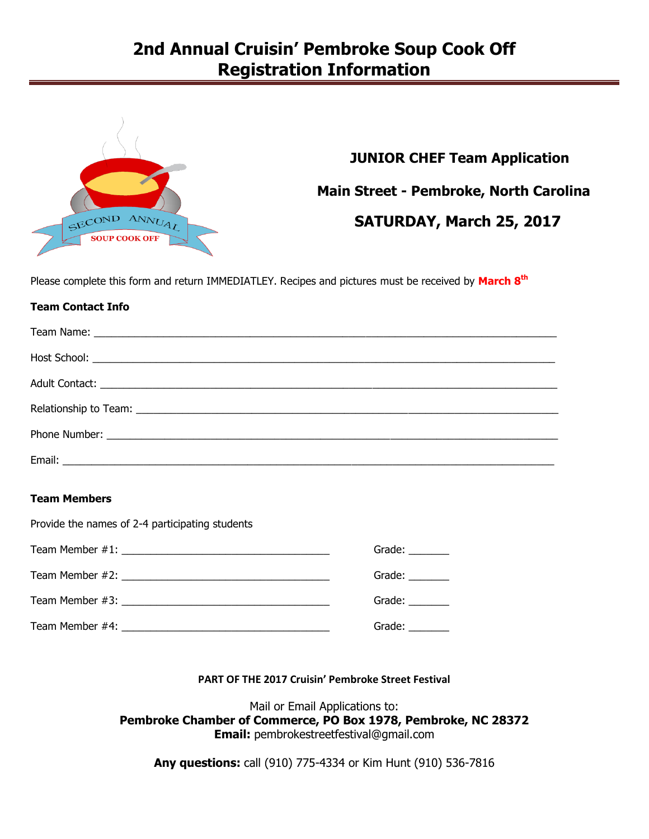## **2nd Annual Cruisin' Pembroke Soup Cook Off Registration Information**



# **JUNIOR CHEF Team Application Main Street - Pembroke, North Carolina SATURDAY, March 25, 2017**

Please complete this form and return IMMEDIATLEY. Recipes and pictures must be received by **March 8 th**

### **Team Contact Info**

### **Team Members**

Provide the names of 2-4 participating students

| Grade: $\qquad \qquad$                                                                                                                                                                                                         |
|--------------------------------------------------------------------------------------------------------------------------------------------------------------------------------------------------------------------------------|
| Grade: $\_\_\_\_\_\_\_\_\_\_\_\$                                                                                                                                                                                               |
| Grade: The Contract of the Contract of the Contract of the Contract of the Contract of the Contract of the Contract of the Contract of the Contract of the Contract of the Contract of the Contract of the Contract of the Con |
| Grade: $\_\_$                                                                                                                                                                                                                  |

### **PART OF THE 2017 Cruisin' Pembroke Street Festival**

Mail or Email Applications to: **Pembroke Chamber of Commerce, PO Box 1978, Pembroke, NC 28372 Email:** pembrokestreetfestival@gmail.com

**Any questions:** call (910) 775-4334 or Kim Hunt (910) 536-7816